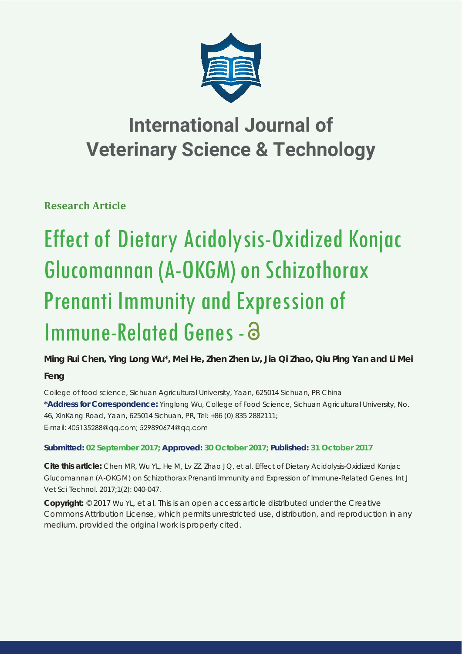

## **International Journal of Veterinary Science & Technology**

**Research Article**

# Effect of Dietary Acidolysis-Oxidized Konjac Glucomannan (A-OKGM) on Schizothorax Prenanti Immunity and Expression of Immune-Related Genes -

**Ming Rui Chen, Ying Long Wu\*, Mei He, Zhen Zhen Lv, Jia Qi Zhao, Qiu Ping Yan and Li Mei** 

**Feng**

*College of food science, Sichuan Agricultural University, Yaan, 625014 Sichuan, PR China* **\*Address for Correspondence:** Yinglong Wu, College of Food Science, Sichuan Agricultural University, No. 46, XinKang Road, Yaan, 625014 Sichuan, PR, Tel: +86 (0) 835 2882111; E-mail: 405135288@gg.com; 529890674@gg.com

### **Submitted: 02 September 2017; Approved: 30 October 2017; Published: 31 October 2017**

**Cite this article:** Chen MR, Wu YL, He M, Lv ZZ, Zhao JQ, et al. Effect of Dietary Acidolysis-Oxidized Konjac Glucomannan (A-OKGM) on Schizothorax Prenanti Immunity and Expression of Immune-Related Genes. Int J Vet Sci Technol. 2017;1(2): 040-047.

**Copyright:** © 2017 Wu YL, et al. This is an open access article distributed under the Creative Commons Attribution License, which permits unrestricted use, distribution, and reproduction in any medium, provided the original work is properly cited.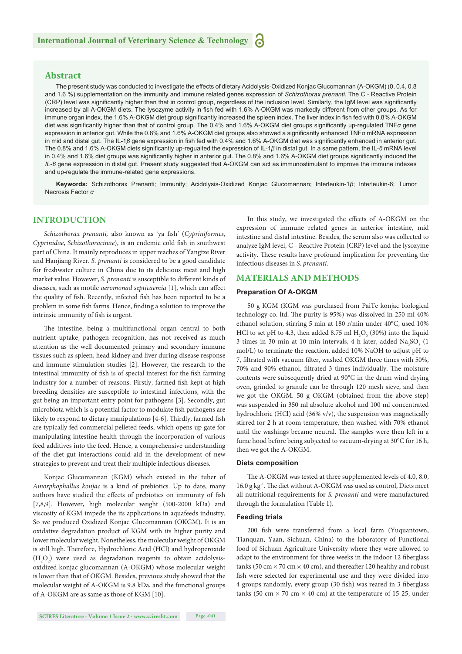#### **Abstract**

The present study was conducted to investigate the effects of dietary Acidolysis-Oxidized Konjac Glucomannan (A-OKGM) (0, 0.4, 0.8 and 1.6 %) supplementation on the immunity and immune related genes expression of *Schizothorax prenanti*. The C - Reactive Protein (CRP) level was significantly higher than that in control group, regardless of the inclusion level. Similarly, the IgM level was significantly increased by all A-OKGM diets. The lysozyme activity in fish fed with 1.6% A-OKGM was markedly different from other groups. As for immune organ index, the 1.6% A-OKGM diet group significantly increased the spleen index. The liver index in fish fed with 0.8% A-OKGM diet was significantly higher than that of control group. The 0.4% and 1.6% A-OKGM diet groups significantly up-regulated TNF*α* gene expression in anterior gut. While the 0.8% and 1.6% A-OKGM diet groups also showed a signifi cantly enhanced TNF*α* mRNA expression in mid and distal gut. The IL-1β gene expression in fish fed with 0.4% and 1.6% A-OKGM diet was significantly enhanced in anterior gut. The 0.8% and 1.6% A-OKGM diets significantly up-regualted the expression of IL-1β in distal gut. In a same pattern, the IL-6 mRNA level in 0.4% and 1.6% diet groups was significantly higher in anterior gut. The 0.8% and 1.6% A-OKGM diet groups significantly induced the *IL-6* gene expression in distal gut. Present study suggested that A-OKGM can act as immunostimulant to improve the immune indexes and up-regulate the immune-related gene expressions.

**Keywords:** Schizothorax Prenanti*;* Immunity; Acidolysis-Oxidized Konjac Glucomannan; Interleukin-1*β*; Interleukin-6; Tumor Necrosis Factor *α*

#### **INTRODUCTION**

*Schizothorax prenanti, also known as 'ya fish' (Cypriniformes, Cyprinidae, Schizothoracinae*), is an endemic cold fish in southwest part of China. It mainly reproduces in upper reaches of Yangtze River and Hanjiang River. *S. prenanti* is considered to be a good candidate for freshwater culture in China due to its delicious meat and high market value. However, *S. prenanti* is susceptible to different kinds of diseases, such as motile *aeromonad septicaemia* [1], which can affect the quality of fish. Recently, infected fish has been reported to be a problem in some fish farms. Hence, finding a solution to improve the intrinsic immunity of fish is urgent.

The intestine, being a multifunctional organ central to both nutrient uptake, pathogen recognition, has not received as much attention as the well documented primary and secondary immune tissues such as spleen, head kidney and liver during disease response and immune stimulation studies [2]. However, the research to the intestinal immunity of fish is of special interest for the fish farming industry for a number of reasons. Firstly, farmed fish kept at high breeding densities are susceptible to intestinal infections, with the gut being an important entry point for pathogens [3]. Secondly, gut microbiota which is a potential factor to modulate fish pathogens are likely to respond to dietary manipulations [4-6]. Thirdly, farmed fish are typically fed commercial pelleted feeds, which opens up gate for manipulating intestine health through the incorporation of various feed additives into the feed. Hence, a comprehensive understanding of the diet-gut interactions could aid in the development of new strategies to prevent and treat their multiple infectious diseases.

Konjac Glucomannan (KGM) which existed in the tuber of *Amorphophallus konjac* is a kind of prebiotics*.* Up to date, many authors have studied the effects of prebiotics on immunity of fish [7,8,9]. However, high molecular weight (500-2000 kDa) and viscosity of KGM impede the its applications in aquafeeds industry. So we produced Oxidized Konjac Glucomannan (OKGM). It is an oxidative degradation product of KGM with its higher purity and lower molecular weight. Nonetheless, the molecular weight of OKGM is still high. Therefore, Hydrochloric Acid (HCl) and hydroperoxide  $(H_2O_2)$  were used as degradation reagents to obtain acidolysisoxidized konjac glucomannan (A-OKGM) whose molecular weight is lower than that of OKGM. Besides, previous study showed that the molecular weight of A-OKGM is 9.8 kDa, and the functional groups of A-OKGM are as same as those of KGM [10].

In this study, we investigated the effects of A-OKGM on the expression of immune related genes in anterior intestine, mid intestine and distal intestine. Besides, the serum also was collected to analyze IgM level, C - Reactive Protein (CRP) level and the lysozyme activity. These results have profound implication for preventing the infectious diseases in *S. prenanti.* 

#### **MATERIALS AND METHODS**

#### **Preparation Of A-OKGM**

50 g KGM (KGM was purchased from PaiTe konjac biological technology co. ltd. The purity is 95%) was dissolved in 250 ml 40% ethanol solution, stirring 5 min at 180 r/min under 40°C, used 10% HCl to set pH to 4.3, then added 8.75 ml  $H_2O_2(30%)$  into the liquid 3 times in 30 min at 10 min intervals, 4 h later, added  $\text{Na}_2\text{SO}_3$  (1 mol/L) to terminate the reaction, added 10% NaOH to adjust pH to 7, filtrated with vacuum filter, washed OKGM three times with 50%, 70% and 90% ethanol, filtrated 3 times individually. The moisture contents were subsequently dried at 90°C in the drum wind drying oven, grinded to granule can be through 120 mesh sieve, and then we got the OKGM. 50 g OKGM (obtained from the above step) was suspended in 350 ml absolute alcohol and 100 ml concentrated hydrochloric (HCl) acid (36% v/v), the suspension was magnetically stirred for 2 h at room temperature, then washed with 70% ethanol until the washings became neutral. The samples were then left in a fume hood before being subjected to vacuum-drying at 30°C for 16 h, then we got the A-OKGM.

#### **Diets composition**

The A-OKGM was tested at three supplemented levels of 4.0, 8.0, 16.0 g kg<sup>-1</sup>. The diet without A-OKGM was used as control, Diets meet all nutritional requirements for *S. prenanti* and were manufactured through the formulation (Table 1).

#### **Feeding trials**

200 fish were transferred from a local farm (Yuquantown, Tianquan, Yaan, Sichuan, China) to the laboratory of Functional food of Sichuan Agriculture University where they were allowed to adapt to the environment for three weeks in the indoor 12 fiberglass tanks (50 cm  $\times$  70 cm  $\times$  40 cm), and thereafter 120 healthy and robust fish were selected for experimental use and they were divided into 4 groups randomly, every group (30 fish) was reared in 3 fiberglass tanks (50 cm  $\times$  70 cm  $\times$  40 cm) at the temperature of 15-25, under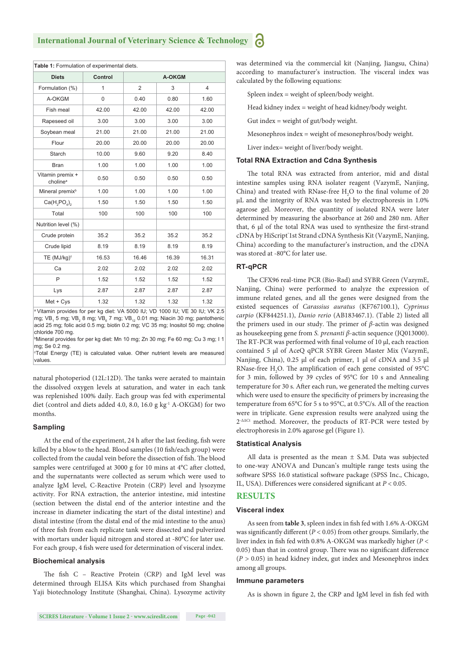**Table 1:** Formulation of experimental diets.

| <b>Diets</b>                             | Control  | A-OKGM         |       |       |
|------------------------------------------|----------|----------------|-------|-------|
| Formulation (%)                          | 1        | $\overline{2}$ | 3     | 4     |
| A-OKGM                                   | $\Omega$ | 0.40           | 0.80  | 1.60  |
| Fish meal                                | 42.00    | 42.00          | 42.00 | 42.00 |
| Rapeseed oil                             | 3.00     | 3.00           | 3.00  | 3.00  |
| Soybean meal                             | 21.00    | 21.00          | 21.00 | 21.00 |
| Flour                                    | 20.00    | 20.00          | 20.00 | 20.00 |
| Starch                                   | 10.00    | 9.60           | 9.20  | 8.40  |
| <b>Bran</b>                              | 1.00     | 1.00           | 1.00  | 1.00  |
| Vitamin premix +<br>choline <sup>a</sup> | 0.50     | 0.50           | 0.50  | 0.50  |
| Mineral premix <sup>b</sup>              | 1.00     | 1.00           | 1.00  | 1.00  |
| $Ca(H_2PO_4)_2$                          | 1.50     | 1.50           | 1.50  | 1.50  |
| Total                                    | 100      | 100            | 100   | 100   |
| Nutrition level (%)                      |          |                |       |       |
| Crude protein                            | 35.2     | 35.2           | 35.2  | 35.2  |
| Crude lipid                              | 8.19     | 8.19           | 8.19  | 8.19  |
| TE (MJ/kg) <sup>c</sup>                  | 16.53    | 16.46          | 16.39 | 16.31 |
| Ca                                       | 2.02     | 2.02           | 2.02  | 2.02  |
| P                                        | 1.52     | 1.52           | 1.52  | 1.52  |
| Lys                                      | 2.87     | 2.87           | 2.87  | 2.87  |
| $Met + Cys$                              | 1.32     | 1.32           | 1.32  | 1.32  |

Vitamin provides for per kg diet: VA 5000 IU; VD 1000 IU; VE 30 IU; VK 2.5 mg; VB<sub>1</sub> 5 mg; VB<sub>2</sub> 8 mg; VB<sub>6</sub> 7 mg; VB<sub>12</sub> 0.01 mg; Niacin 30 mg; pantothenic acid 25 mg; folic acid 0.5 mg; biotin 0.2 mg; VC 35 mg; Inositol 50 mg; choline chloride 700 mg.

<sup>b</sup>Mineral provides for per kg diet: Mn 10 mg; Zn 30 mg; Fe 60 mg; Cu 3 mg; I 1 mg; Se 0.2 mg.

c Total Energy (TE) is calculated value. Other nutrient levels are measured values.

natural photoperiod (12L:12D). The tanks were aerated to maintain the dissolved oxygen levels at saturation, and water in each tank was replenished 100% daily. Each group was fed with experimental diet (control and diets added 4.0, 8.0, 16.0 g kg<sup>-1</sup> A-OKGM) for two months.

#### **Sampling**

At the end of the experiment, 24 h after the last feeding, fish were killed by a blow to the head. Blood samples (10 fish/each group) were collected from the caudal vein before the dissection of fish. The blood samples were centrifuged at 3000 g for 10 mins at 4°C after clotted, and the supernatants were collected as serum which were used to analyze IgM level, C-Reactive Protein (CRP) level and lysozyme activity. For RNA extraction, the anterior intestine, mid intestine (section between the distal end of the anterior intestine and the increase in diameter indicating the start of the distal intestine) and distal intestine (from the distal end of the mid intestine to the anus) of three fish from each replicate tank were dissected and pulverized with mortars under liquid nitrogen and stored at -80°C for later use. For each group, 4 fish were used for determination of visceral index.

#### **Biochemical analysis**

The fish C - Reactive Protein (CRP) and IgM level was determined through ELISA Kits which purchased from Shanghai Yaji biotechnology Institute (Shanghai, China). Lysozyme activity was determined via the commercial kit (Nanjing, Jiangsu, China) according to manufacturer's instruction. The visceral index was calculated by the following equations:

Spleen index = weight of spleen/body weight.

Head kidney index = weight of head kidney/body weight.

Gut index = weight of gut/body weight.

Mesonephros index = weight of mesonephros/body weight.

Liver index= weight of liver/body weight.

#### **Total RNA Extraction and Cdna Synthesis**

The total RNA was extracted from anterior, mid and distal intestine samples using RNA isolater reagent (VazymE, Nanjing, China) and treated with RNase-free  $H_2O$  to the final volume of 20 μL and the integrity of RNA was tested by electrophoresis in 1.0% agarose gel. Moreover, the quantity of isolated RNA were later determined by measuring the absorbance at 260 and 280 nm. After that, 6 μl of the total RNA was used to synthesize the first-strand cDNA by HiScript<sup>®</sup>1st Strand cDNA Synthesis Kit (VazymE, Nanjing, China) according to the manufacturer's instruction, and the cDNA was stored at -80°C for later use.

#### **RT-qPCR**

The CFX96 real-time PCR (Bio-Rad) and SYBR Green (VazymE, Nanjing, China) were performed to analyze the expression of immune related genes, and all the genes were designed from the existed sequences of *Carassius auratus* (KF767100.1), *Cyprinus carpio* (KF844251.1), *Danio rerio* (AB183467.1). (Table 2) listed all the primers used in our study. The primer of  $\beta$ -actin was designed as housekeeping gene from *S. prenanti β*-actin sequence (JQ013000). The RT-PCR was performed with final volume of 10 μl, each reaction contained 5 μl of AceQ qPCR SYBR Green Master Mix (VazymE, Nanjing, China), 0.25 μl of each primer, 1 μl of cDNA and 3.5 μl RNase-free  $H_2O$ . The amplification of each gene consisted of 95°C for 3 min, followed by 39 cycles of 95°C for 10 s and Annealing temperature for 30 s. After each run, we generated the melting curves which were used to ensure the specificity of primers by increasing the temperature from 65°C for 5 s to 95°C, at 0.5°C/s. All of the reaction were in triplicate. Gene expression results were analyzed using the 2-ΔΔCt method. Moreover, the products of RT-PCR were tested by electrophoresis in 2.0% agarose gel (Figure 1).

#### **Statistical Analysis**

All data is presented as the mean  $\pm$  S.M. Data was subjected to one-way ANOVA and Duncan's multiple range tests using the software SPSS 16.0 statistical software package (SPSS Inc., Chicago, IL, USA). Differences were considered significant at  $P < 0.05$ .

#### **RESULTS**

#### **Visceral index**

As seen from table 3, spleen index in fish fed with 1.6% A-OKGM was significantly different  $(P < 0.05)$  from other groups. Similarly, the liver index in fish fed with 0.8% A-OKGM was markedly higher ( $P <$ 0.05) than that in control group. There was no significant difference  $(P > 0.05)$  in head kidney index, gut index and Mesonephros index among all groups.

#### **Immune parameters**

As is shown in figure 2, the CRP and IgM level in fish fed with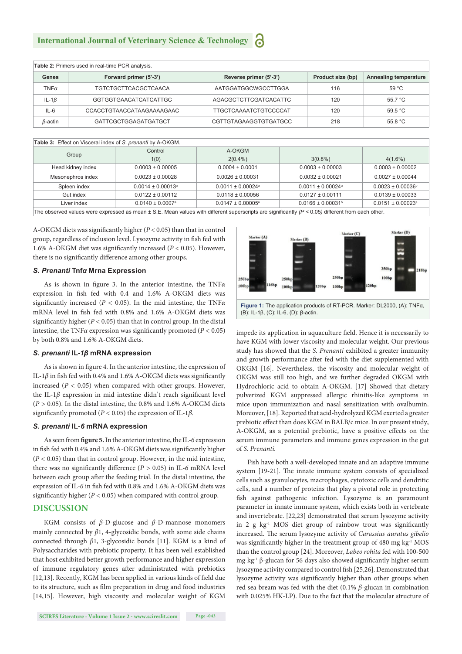| Table 2: Primers used in real-time PCR analysis. |                             |                                             |     |                       |  |  |  |
|--------------------------------------------------|-----------------------------|---------------------------------------------|-----|-----------------------|--|--|--|
| Genes                                            | Forward primer (5'-3')      | Reverse primer (5'-3')<br>Product size (bp) |     | Annealing temperature |  |  |  |
| $TNF\alpha$                                      | <b>TGTCTGCTTCACGCTCAACA</b> | AATGGATGGCWGCCTTGGA                         | 116 | 59 °C                 |  |  |  |
| IL-1 $\beta$                                     | GGTGGTGAACATCATCATTGC       | AGACGCTCTTCGATCACATTC                       | 120 | 55.7 °C               |  |  |  |
| IL-6                                             | CCACCTGTAACCATAAGAAAAGAAC   | TTGCTCAAAATCTGTCCCCAT                       | 120 | 59.5 $°C$             |  |  |  |
| β-actin                                          | GATTCGCTGGAGATGATGCT        | CGTTGTAGAAGGTGTGATGCC                       | 218 | 55.8 $^{\circ}$ C     |  |  |  |

| Table 3: Effect on Visceral index of S. prenanti by A-OKGM.                                                                                             |                                  |                                   |                                   |                                   |  |  |  |
|---------------------------------------------------------------------------------------------------------------------------------------------------------|----------------------------------|-----------------------------------|-----------------------------------|-----------------------------------|--|--|--|
| Group                                                                                                                                                   | Control                          | A-OKGM                            |                                   |                                   |  |  |  |
|                                                                                                                                                         | 1(0)                             | $2(0.4\%)$                        | $3(0.8\%)$                        | $4(1.6\%)$                        |  |  |  |
| Head kidney index                                                                                                                                       | $0.0003 \pm 0.00005$             | $0.0004 \pm 0.0001$               | $0.0003 \pm 0.00003$              | $0.0003 \pm 0.00002$              |  |  |  |
| Mesonephros index                                                                                                                                       | $0.0023 \pm 0.00028$             | $0.0026 \pm 0.00031$              | $0.0032 \pm 0.00021$              | $0.0027 \pm 0.00044$              |  |  |  |
| Spleen index                                                                                                                                            | $0.0014 \pm 0.00013^{\circ}$     | $0.0011 \pm 0.00024$ <sup>a</sup> | $0.0011 \pm 0.00024$ <sup>a</sup> | $0.0023 \pm 0.00036^{\circ}$      |  |  |  |
| Gut index                                                                                                                                               | $0.0122 \pm 0.00112$             | $0.0118 \pm 0.00056$              | $0.0127 \pm 0.00111$              | $0.0139 \pm 0.00033$              |  |  |  |
| Liver index                                                                                                                                             | $0.0140 \pm 0.0007$ <sup>a</sup> | $0.0147 \pm 0.00005$ <sup>a</sup> | $0.0166 \pm 0.00031$ <sup>b</sup> | $0.0151 \pm 0.00023$ <sup>a</sup> |  |  |  |
| The observed values were expressed as mean $\pm$ S.E. Mean values with different superscripts are significantly $(P < 0.05)$ different from each other. |                                  |                                   |                                   |                                   |  |  |  |

A-OKGM diets was significantly higher  $(P < 0.05)$  than that in control group, regardless of inclusion level. Lysozyme activity in fish fed with 1.6% A-OKGM diet was significantly increased ( $P < 0.05$ ). However, there is no significantly difference among other groups.

#### *S. Prenanti* **Tnf***α* **Mrna Expression**

As is shown in figure 3. In the anterior intestine, the TNF*α* expression in fish fed with 0.4 and 1.6% A-OKGM diets was significantly increased ( $P < 0.05$ ). In the mid intestine, the TNF $\alpha$ mRNA level in fish fed with 0.8% and 1.6% A-OKGM diets was significantly higher ( $P < 0.05$ ) than that in control group. In the distal intestine, the TNF $\alpha$  expression was significantly promoted ( $P < 0.05$ ) by both 0.8% and 1.6% A-OKGM diets.

#### *S. prenanti* **IL-***1β* **mRNA expression**

As is shown in figure 4. In the anterior intestine, the expression of IL-1 $β$  in fish fed with 0.4% and 1.6% A-OKGM diets was significantly increased (*P <* 0.05) when compared with other groups. However, the IL-1 $\beta$  expression in mid intestine didn't reach significant level (*P >* 0.05). In the distal intestine, the 0.8% and 1.6% A-OKGM diets significantly promoted ( $P < 0.05$ ) the expression of IL-1 $\beta$ .

#### *S. prenanti* **IL-***6* **mRNA expression**

As seen from **figure 5.** In the anterior intestine, the IL-6 expression in fish fed with 0.4% and 1.6% A-OKGM diets was significantly higher (*P <* 0.05) than that in control group. However, in the mid intestine, there was no significantly difference  $(P > 0.05)$  in IL-6 mRNA level between each group after the feeding trial. In the distal intestine, the expression of IL-6 in fish fed with 0.8% and 1.6% A-OKGM diets was significantly higher  $(P < 0.05)$  when compared with control group.

#### **DISCUSSION**

KGM consists of *β*-D-glucose and *β*-D-mannose monomers mainly connected by *β*1, 4-glycosidic bonds, with some side chains connected through *β*1, 3-glycosidic bonds [11]. KGM is a kind of Polysaccharides with prebiotic property. It has been well established that host exhibited better growth performance and higher expression of immune regulatory genes after administrated with prebiotics [12,13]. Recently, KGM has been applied in various kinds of field due to its structure, such as film preparation in drug and food industries [14,15]. However, high viscosity and molecular weight of KGM



impede its application in aquaculture field. Hence it is necessarily to have KGM with lower viscosity and molecular weight. Our previous study has showed that the *S. Prenanti* exhibited a greater immunity and growth performance after fed with the diet supplemented with OKGM [16]. Nevertheless, the viscosity and molecular weight of OKGM was still too high, and we further degraded OKGM with Hydrochloric acid to obtain A-OKGM. [17] Showed that dietary pulverized KGM suppressed allergic rhinitis-like symptoms in mice upon immunization and nasal sensitization with ovalbumin. Moreover, [18]. Reported that acid-hydrolyzed KGM exerted a greater prebiotic effect than does KGM in BALB/c mice. In our present study, A-OKGM, as a potential prebiotic, have a positive effects on the serum immune parameters and immune genes expression in the gut of *S. Prenanti.* 

Fish have both a well-developed innate and an adaptive immune system [19-21]. The innate immune system consists of specialized cells such as granulocytes, macrophages, cytotoxic cells and dendritic cells, and a number of proteins that play a pivotal role in protecting fish against pathogenic infection. Lysozyme is an paramount parameter in innate immune system, which exists both in vertebrate and invertebrate. [22,23] demonstrated that serum lysozyme activity in 2 g  $kg<sup>-1</sup>$  MOS diet group of rainbow trout was significantly increased. The serum lysozyme activity of *Carassius auratus gibelio* was significantly higher in the treatment group of  $480 \text{ mg} \text{ kg}^{-1} \text{ MOS}$ than the control group [24]. Moreover, *Labeo rohita* fed with 100-500 mg kg<sup>-1</sup> β-glucan for 56 days also showed significantly higher serum lysozyme activity compared to control fish [25,26]. Demonstrated that lysozyme activity was significantly higher than other groups when red sea bream was fed with the diet (0.1% *β*-glucan in combination with 0.025% HK-LP). Due to the fact that the molecular structure of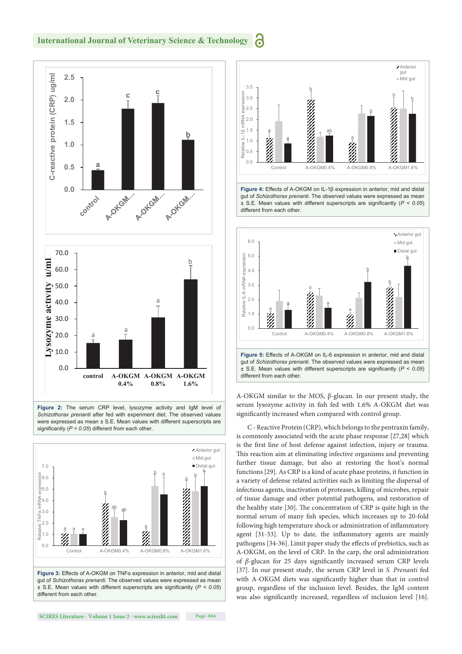#### **International Journal of Veterinary Science & Technology** Ы



**Figure 2:** The serum CRP level, lysozyme activity and IgM level of *Schizothorax prenanti* after fed with experiment diet. The observed values were expressed as mean  $\pm$  S.E. Mean values with different superscripts are significantly ( $P < 0.05$ ) different from each other.





Figure 4: Effects of A-OKGM on IL-1β expression in anterior, mid and distal gut of *Schizothorax prenanti*. The observed values were expressed as mean  $\pm$  S.E. Mean values with different superscripts are significantly ( $P < 0.05$ ) different from each other



A-OKGM similar to the MOS, β-glucan. In our present study, the serum lysozyme activity in fish fed with 1.6% A-OKGM diet was significantly increased when compared with control group.

C - Reactive Protein (CRP), which belongs to the pentraxin family, is commonly associated with the acute phase response [27,28] which is the first line of host defense against infection, injury or trauma. This reaction aim at eliminating infective organisms and preventing further tissue damage, but also at restoring the host's normal functions [29]. As CRP is a kind of acute phase proteins, it function in a variety of defense related activities such as limiting the dispersal of infectious agents, inactivation of proteases, killing of microbes, repair of tissue damage and other potential pathogens, and restoration of the healthy state [30]. The concentration of CRP is quite high in the normal serum of many fish species, which increases up to 20-fold following high temperature shock or administration of inflammatory agent [31-33]. Up to date, the inflammatory agents are mainly pathogens [34-36]. Limit paper study the effects of prebiotics, such as A-OKGM, on the level of CRP. In the carp, the oral administration of *β*-glucan for 25 days significantly increased serum CRP levels [37]. In our present study, the serum CRP level in *S. Prenanti* fed with A-OKGM diets was significantly higher than that in control group, regardless of the inclusion level. Besides, the IgM content was also significantly increased, regardless of inclusion level [16].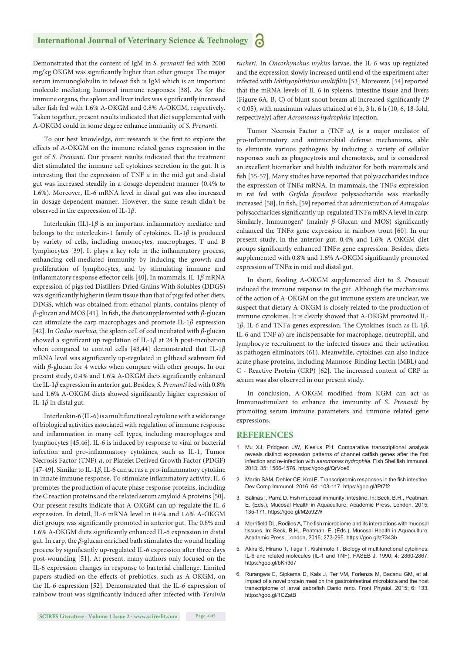Demonstrated that the content of IgM in *S. prenanti* fed with 2000 mg/kg OKGM was significantly higher than other groups. The major serum immunoglobulin in teleost fish is IgM which is an important molecule mediating humoral immune responses [38]. As for the immune organs, the spleen and liver index was significantly increased after fish fed with 1.6% A-OKGM and 0.8% A-OKGM, respectively. Taken together, present results indicated that diet supplemented with A-OKGM could in some degree enhance immunity of *S. Prenanti*.

To our best knowledge, our research is the first to explore the effects of A-OKGM on the immune related genes expression in the gut of *S. Prenanti*. Our present results indicated that the treatment diet stimulated the immune cell cytokines secretion in the gut. It is interesting that the expression of TNF *a* in the mid gut and distal gut was increased steadily in a dosage-dependent manner (0.4% to 1.6%). Moreover, IL-*6* mRNA level in distal gut was also increased in dosage-dependent manner. However, the same result didn't be observed in the expreession of IL-1*β*.

Interleukin (IL)-1 $\beta$  is an important inflammatory mediator and belongs to the interleukin-1 family of cytokines. IL-1*β* is produced by variety of cells, including monocytes, macrophages, T and B lymphocytes [39]. It plays a key role in the inflammatory process, enhancing cell-mediated immunity by inducing the growth and proliferation of lymphocytes, and by stimulating immune and inflammatory response effector cells [40]. In mammals, IL-1β mRNA expression of pigs fed Distillers Dried Grains With Solubles (DDGS) was significantly higher in ileum tissue than that of pigs fed other diets. DDGS, which was obtained from ethanol plants, contains plenty of  $β$ -glucan and MOS [41]. In fish, the diets supplemented with  $β$ -glucan can stimulate the carp macrophages and promote IL-1*β* expression [42]. In *Gadus morhua*, the spleen cell of cod incubated with *β*-glucan showed a significant up regulation of IL-1 $\beta$  at 24 h post-incubation when compared to control cells [43,44] demonstrated that IL-1*β* mRNA level was significantly up-regulated in gilthead seabream fed with *β*-glucan for 4 weeks when compare with other groups. In our present study, 0.4% and 1.6% A-OKGM diets significantly enhanced the IL-1*β* expression in anterior gut. Besides, *S. Prenanti* fed with 0.8% and 1.6% A-OKGM diets showed significantly higher expression of IL-1*β* in distal gut.

Interleukin-6 (IL-6) is a multifunctional cytokine with a wide range of biological activities associated with regulation of immune response and inflammation in many cell types, including macrophages and lymphocytes [45,46]. IL-6 is induced by response to viral or bacterial infection and pro-inflammatory cytokines, such as IL-1, Tumor Necrosis Factor (TNF)-*a*, or Platelet Derived Growth Factor (PDGF) [47-49]. Similar to IL-1 $\beta$ , IL-6 can act as a pro-inflammatory cytokine in innate immune response. To stimulate inflammatory activity, IL-6 promotes the production of acute phase response proteins, including the C reaction proteins and the related serum amyloid A proteins [50]. Our present results indicate that A-OKGM can up-regulate the IL-*6*  expression. In detail, IL-*6* mRNA level in 0.4% and 1.6% A-OKGM diet groups was significantly promoted in anterior gut. The 0.8% and 1.6% A-OKGM diets significantly enhanced IL-6 expression in distal gut. In carp, the *β*-glucan enriched bath stimulates the wound healing process by significantly up-regulated IL-6 expression after three days post-wounding [51]. At present, many authors only focused on the IL-6 expression changes in response to bacterial challenge. Limited papers studied on the effects of prebiotics, such as A-OKGM, on the IL-*6* expression [52]. Demonstrated that the IL*-6* expression of rainbow trout was significantly induced after infected with *Yersinia*  *ruckeri*. In *Oncorhynchus mykiss* larvae, the IL-*6* was up-regulated and the expression slowly increased until end of the experiment after infected with *Ichthyophthirius multifiliis* [53] Moreover, [54] reported that the mRNA levels of IL-6 in spleens, intestine tissue and livers (Figure 6A, B, C) of blunt snout bream all increased significantly (*P <* 0.05), with maximum values attained at 6 h, 3 h, 6 h (10, 6, 18-fold, respectively) after *Aeromonas hydrophila* injection.

Tumor Necrosis Factor α (TNF *a),* is a major mediator of pro-inflammatory and antimicrobial defense mechanisms, able to eliminate various pathogens by inducing a variety of cellular responses such as phagocytosis and chemotaxis, and is considered an excellent biomarker and health indicator for both mammals and fish [55-57]. Many studies have reported that polysaccharides induce the expression of TNF*a* mRNA. In mammals, the TNF*a* expression in rat fed with *Grifola frondosa* polysaccharide was markedly increased [58]. In fish, [59] reported that administration of *Astragalus* polysaccharides significantly up-regulated TNFα mRNA level in carp. Similarly, Immunogen® (mainly β-Glucan and MOS) significantly enhanced the TNF*α* gene expression in rainbow trout [60]. In our present study, in the anterior gut, 0.4% and 1.6% A-OKGM diet groups significantly enhanced TNFα gene expression. Besides, diets supplemented with 0.8% and 1.6% A-OKGM significantly promoted expression of TNF*α* in mid and distal gut.

In short, feeding A-OKGM supplemented diet to *S. Prenanti*  induced the immune response in the gut. Although the mechanisms of the action of A-OKGM on the gut immune system are unclear, we suspect that dietary A-OKGM is closely related to the production of immune cytokines. It is clearly showed that A-OKGM promoted IL-1β, IL-6 and TNFα genes expression. The Cytokines (such as IL-1β, IL-6 and TNF *α*) are indispensable for macrophage, neutrophil, and lymphocyte recruitment to the infected tissues and their activation as pathogen eliminators (61). Meanwhile, cytokines can also induce acute phase proteins, including Mannose-Binding Lectin (MBL) and C - Reactive Protein (CRP) [62]. The increased content of CRP in serum was also observed in our present study.

In conclusion, A-OKGM modified from KGM can act as Immunostimulant to enhance the immunity of *S. Prenanti* by promoting serum immune parameters and immune related gene expressions.

#### **REFERENCES**

- 1. Mu XJ, Pridgeon JW, Klesius PH. Comparative transcriptional analysis reveals distinct expression patterns of channel catfish genes after the first infection and re-infection with *aeromonas hydrophila*. Fish Shellfish Immunol. 2013; 35: 1566-1576. https://goo.gl/QrVoe6
- 2. Martin SAM, Dehler CE, Krol E. Transcriptomic responses in the fish intestine. Dev Comp Immunol. 2016; 64: 103-117. https://goo.gl/tPt7f2
- 3. Salinas I, Parra D. Fish mucosal immunity: intestine. In: Beck, B.H., Peatman, E. (Eds.), Mucosal Health in Aquaculture. Academic Press, London, 2015; 135-171. https://goo.gl/M2o92W
- 4. Merrifield DL, Rodiles A, The fish microbiome and its interactions with mucosal tissues. In: Beck, B.H., Peatman, E. (Eds.), Mucosal Health in Aquaculture. Academic Press, London, 2015; 273-295. https://goo.gl/z7343b
- 5. Akira S, Hirano T, Taga T, Kishimoto T. Biology of multifunctional cytokines: IL-6 and related molecules (IL-1 and TNF). FASEB J. 1990; 4: 2860-2867. https://goo.gl/bKh3d7
- 6. Rurangwa E, Sipkema D, Kals J, Ter VM, Forlenza M, Bacanu GM, et al. Impact of a novel protein meal on the gastrointestinal microbiota and the host transcriptome of larval zebrafish Danio rerio. Front Physiol. 2015; 6: 133. https://goo.gl/1CZatB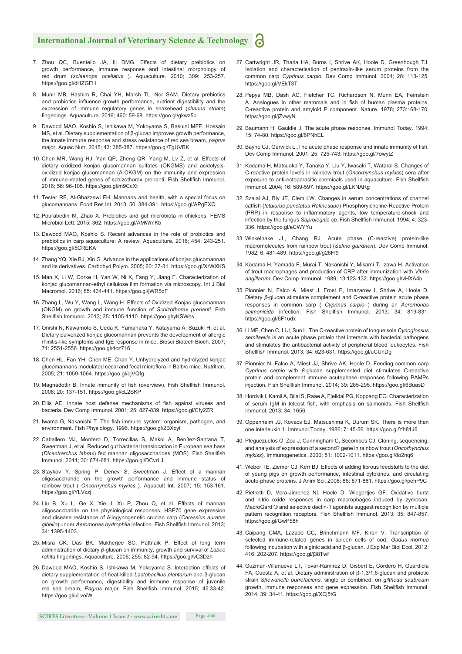- 7. Zhou QC, Buentello JA, lii DMG. Effects of dietary prebiotics on growth performance, immune response and intestinal morphology of red drum (*sciaenops ocellatus* ). Aquaculture. 2010; 309: 253-257. https://goo.gl/dHZGFH
- 8. Munir MB, Hashim R, Chai YH, Marsh TL, Nor SAM. Dietary prebiotics and probiotics influence growth performance, nutrient digestibility and the expression of immune regulatory genes in snakehead (*channa striata*) fi ngerlings. Aquaculture. 2016; 460: 59-68. https://goo.gl/gkwz5o
- 9. Dawood MAO, Koshio S, Ishikawa M, Yokoyama S, Basuini MFE, Hossain MS, et al. Dietary supplementation of β-glucan improves growth performance, the innate immune response and stress resistance of red sea bream, *pagrus* major. Aquac Nutr. 2015; 43: 385-387. https://goo.gl/TgUVBK
- 10. Chen MR, Wang HJ, Yan QP, Zheng QR, Yang M, Lv Z, et al. Effects of dietary oxidized konjac glucomannan sulfates (OKGMS) and acidolysisoxidized konjac glucomannan (A-OKGM) on the immunity and expression of immune-related genes of schizothorax prenanti. Fish Shellfish Immunol. 2016; 56: 96-105. https://goo.gl/m9CcXt
- 11. Tester RF, Al-Ghazzewi FH. Mannans and health, with a special focus on glucomannans. Food Res Int. 2013; 50: 384-391. https://goo.gl/APgEXQ
- 12. Pourabedin M, Zhao X. Prebiotics and gut microbiota in chickens. FEMS Microbiol Lett. 2015; 362. https://goo.gl/AMWmKb
- 13. Dawood MAO, Koshio S. Recent advances in the role of probiotics and prebiotics in carp aquaculture: A review. Aquaculture. 2016; 454: 243-251. https://goo.gl/5CREKA
- 14. Zhang YQ, Xie BJ, Xin G. Advance in the applications of konjac glucomannan and its derivatives. Carbohyd Polym. 2005; 60: 27-31. https://goo.gl/XrWXKS
- 15. Man X, Li W, Corke H, Yan W, Ni X, Fang Y, Jiang F. Characterization of konjac glucomannan-ethyl cellulose film formation via microscopy. Int J Biol Macromol. 2016; 85: 434-441. https://goo.gl/jWR5dF
- 16. Zhang L, Wu Y, Wang L, Wang H. Effects of Oxidized Konjac glucomannan (OKGM) on growth and immune function of *Schizothorax prenanti*. Fish Shellfish Immunol. 2013; 35: 1105-1110. https://goo.gl/yKSWhs
- 17. Onishi N, Kawamoto S, Ueda K, Yamanaka Y, Katayama A, Suzuki H, et al. Dietary pulverized konjac glucomannan prevents the development of allergic rhinitis-like symptoms and IgE response in mice. Biosci Biotech Bioch. 2007; 71: 2551-2556. https://goo.gl/4oz716
- 18. Chen HL, Fan YH, Chen ME, Chan Y. Unhydrolyzed and hydrolyzed konjac glucomannans modulated cecal and fecal microflora in Balb/c mice. Nutrition. 2005; 21: 1059-1064. https://goo.gl/ejVQfg
- 19. Magnadottir B. Innate immunity of fish (overview). Fish Shellfish Immunol. 2006; 20: 137-151. https://goo.gl/cL2SKP
- 20. Ellis AE. Innate host defense mechanisms of fish against viruses and bacteria. Dev Comp Immunol. 2001; 25: 827-839. https://goo.gl/Cfy2ZR
- 21. Iwama G, Nakanishi T. The fish immune system: organism, pathogen, and environment. Fish Physiology. 1996. https://goo.gl/2BXcyi
- 22. Caballero MJ, Montero D, Torrecillas S, Makol A, Benítez-Santana T, Sweetman J, et al. Reduced gut bacterial translocation in European sea bass (Dicentrarchus labrax) fed mannan oligosaccharides (MOS). Fish Shellfish Immunol. 2011; 30: 674-681. https://goo.gl/DCvrLJ
- 23. Staykov Y. Spring P. Deney S. Sweetman J. Effect of a mannan oligosaccharide on the growth performance and immune status of rainbow trout ( *Oncorhynchus mykiss* ). Aquacult Int. 2007; 15: 153-161. https://goo.gl/YLVxzj
- 24. Liu B, Xu L, Ge X, Xie J, Xu P, Zhou Q, et al. Effects of mannan oligosaccharide on the physiological responses, HSP70 gene expression and disease resistance of Allogynogenetic crucian carp (*Carassius auratus gibelio*) under *Aeromonas hydrophila* infection. Fish Shellfish Immunol. 2013; 34: 1395-1403.
- 25. Misra CK, Das BK, Mukherjee SC, Pattnaik P. Effect of long term administration of dietary *β*-glucan on immunity, growth and survival of *Labeo*  rohita fingerlings. Aquaculture. 2006; 255: 82-94. https://goo.gl/vC3Dzh
- 26. Dawood MAO, Koshio S, Ishikawa M, Yokoyama S. Interaction effects of dietary supplementation of heat-killed *Lactobacillus plantarum* and β-glucan on growth performance, digestibility and immune response of juvenile red sea bream, Pagrus major. Fish Shellfish Immunol. 2015; 45:33-42. https://goo.gl/uLvoiW
- 27. Cartwright JR, Tharia HA, Burns I, Shrive AK, Hoole D, Greenhough TJ. Isolation and characterisation of pentraxin-like serum proteins from the common carp *Cyprinus carpio*. Dev Comp Immunol. 2004; 28: 113-125. https://goo.gl/VEkT3T
- 28. Pepys MB, Dash AC, Fletcher TC, Richardson N, Munn EA, Feinstein A. Analogues in other mammals and in fish of human plasma proteins, C-reactive protein and amyloid P component. Nature. 1978; 273:168-170. https://goo.gl/jZvwyN
- 29. Baumann H, Gauldie J. The acute phase response. Immunol Today. 1994; 15: 74-80. https://goo.gl/6PNhEL
- 30. Bayne CJ, Gerwick L. The acute phase response and innate immunity of fish. Dev Comp Immunol. 2001; 25: 725-743. https://goo.gl/7owytZ
- 31. Kodama H, Matsuoka Y, Tanaka Y, Liu Y, Iwasaki T, Watarai S. Changes of C-reactive protein levels in rainbow trout (*Oncorhynchus mykis*s) sera after exposure to anti-ectoparasitic chemicals used in aquaculture. Fish Shellfish Immunol. 2004; 16: 589-597. https://goo.gl/LKNARg
- 32. Szalai AJ, Bly JE, Clem LW. Changes in serum concentrations of channel catfish (*Ictalurus punctatus Rafinesque*) Phosphorylcholine-Reactive Protein (PRP) in response to inflammatory agents, low temperature-shock and infection by the fungus Saprolegnia sp. Fish Shellfish Immunol. 1994; 4: 323-336. https://goo.gl/eCWYYu
- 33. Winkelhake JL, Chang RJ. Acute phase (C-reactive) protein-like macromolecules from rainbow trout (*Salmo gairdneri*). Dev Comp Immunol. 1982; 6: 481-489. https://goo.gl/g26Ff9
- 34. Kodama H, Yamada F, Murai T, Nakanishi Y, Mikami T, Izawa H. Activation of trout macrophages and production of CRP after immunization with *Vibrio angillarum*. Dev Comp Immunol. 1989; 13:123-132. https://goo.gl/vHXA4b
- 35. Pionnier N, Falco A, Miest J, Frost P, Irnazarow I, Shrive A, Hoole D. Dietary *β*-glucan stimulate complement and C-reactive protein acute phase responses in common carp ( *Cyprinus carpio* ) during an *Aeromonas*  salmonicida infection. Fish Shellfish Immunol. 2013; 34: 819-831. https://goo.gl/6F1udx
- 36. Li MF, Chen C, Li J, Sun L. The C-reactive protein of tongue sole *Cynoglossus semilaevis* is an acute phase protein that interacts with bacterial pathogens and stimulates the antibacterial activity of peripheral blood leukocytes. Fish Shellfish Immunol. 2013; 34: 623-631. https://goo.gl/uCUnDg
- 37. Pionnier N, Falco A, Miest JJ, Shrive AK, Hoole D. Feeding common carp *Cyprinus carpio* with *β*-glucan supplemented diet stimulates C-reactive protein and complement immune acutephase responses following PAMPs injection. Fish Shellfish Immunol. 2014; 39: 285-295. https://goo.gl/6BuasD
- 38. Hordvik I, Kamil A, Bilal S, Raae A, Fjelldal PG, Koppang EO. Characterization of serum IgM in teleost fish, with emphasis on salmonids. Fish Shellfish Immunol. 2013; 34: 1656.
- 39. Oppenheim JJ, Kovacs EJ, Matsushima K, Durum SK. There is more than one interleukin 1. Immunol Today. 1986; 7: 45-56. https://goo.gl/Yh81J6
- 40. Pleguezuelos O, Zou J, Cunningham C, Secombes CJ. Cloning, sequencing, and analysis of expression of a second? gene in rainbow trout (*Oncorhynchus mykiss*). Immunogenetics. 2000; 51: 1002-1011. https://goo.gl/8o2nq6
- 41. Weber TE, Ziemer CJ, Kerr BJ. Effects of adding fibrous feedstuffs to the diet of young pigs on growth performance, intestinal cytokines, and circulating acute-phase proteins. J Anim Sci. 2008; 86: 871-881. https://goo.gl/pehP9C
- 42. Pietretti D, Vera-Jimenez NI, Hoole D, Wiegertjes GF. Oxidative burst and nitric oxide responses in carp macrophages induced by zymosan, MacroGard ® and selective dectin-1 agonists suggest recognition by multiple pattern recognition receptors. Fish Shellfish Immunol. 2013; 35: 847-857. https://goo.gl/GwP58h
- 43. Caipang CMA, Lazado CC, Brinchmann MF, Kiron V. Transcription of selected immune-related genes in spleen cells of cod, *Gadus morhua*  following incubation with alginic acid and β-glucan. J Exp Mar Biol Ecol. 2012; 416: 202-207. https://goo.gl/j38Twf
- 44. Guzmán-Villanueva LT, Tovar-Ramirez D, Gisbert E, Cordero H, Guardiola FA, Cuesta A, et al. Dietary administration of β-1,3/1,6-glucan and probiotic strain *Shewanella putrefaciens*, single or combined, on *gilthead seabream* growth, immune responses and gene expression. Fish Shellfish Immunol. 2014; 39: 34-41. https://goo.gl/XCj5tG